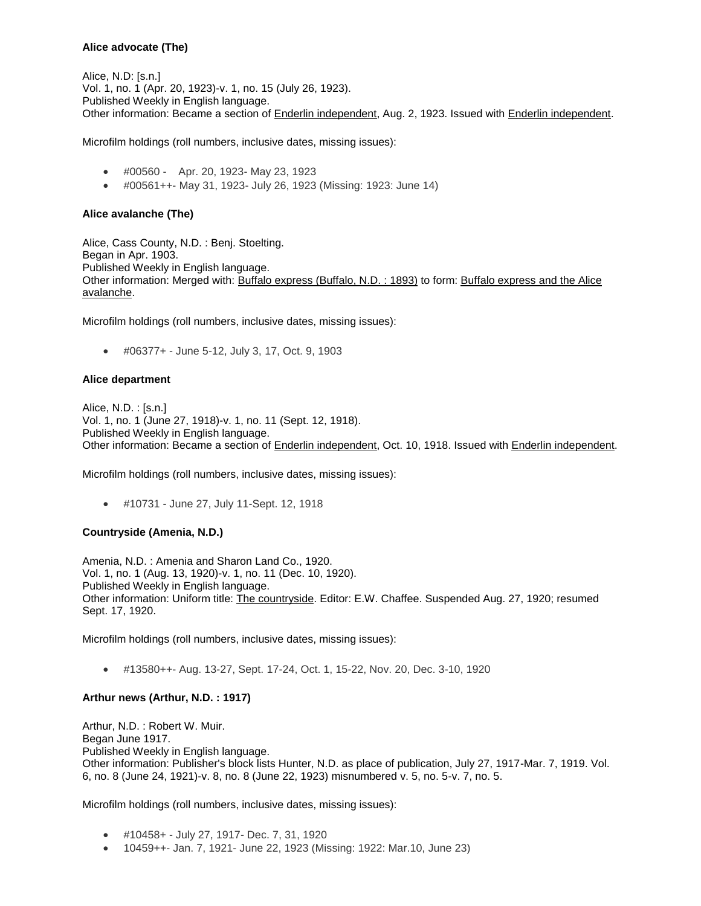## **Alice advocate (The)**

Alice, N.D: [s.n.] Vol. 1, no. 1 (Apr. 20, 1923)-v. 1, no. 15 (July 26, 1923). Published Weekly in English language. Other information: Became a section of **Enderlin independent**, Aug. 2, 1923. Issued with *Enderlin independent*.

Microfilm holdings (roll numbers, inclusive dates, missing issues):

- #00560 Apr. 20, 1923- May 23, 1923
- #00561++- May 31, 1923- July 26, 1923 (Missing: 1923: June 14)

### **Alice avalanche (The)**

Alice, Cass County, N.D. : Benj. Stoelting. Began in Apr. 1903. Published Weekly in English language. Other information: Merged with: Buffalo express (Buffalo, N.D. : 1893) to form: Buffalo express and the Alice avalanche.

Microfilm holdings (roll numbers, inclusive dates, missing issues):

#06377+ - June 5-12, July 3, 17, Oct. 9, 1903

#### **Alice department**

Alice, N.D. : [s.n.] Vol. 1, no. 1 (June 27, 1918)-v. 1, no. 11 (Sept. 12, 1918). Published Weekly in English language. Other information: Became a section of Enderlin independent, Oct. 10, 1918. Issued with Enderlin independent.

Microfilm holdings (roll numbers, inclusive dates, missing issues):

#10731 - June 27, July 11-Sept. 12, 1918

## **Countryside (Amenia, N.D.)**

Amenia, N.D. : Amenia and Sharon Land Co., 1920. Vol. 1, no. 1 (Aug. 13, 1920)-v. 1, no. 11 (Dec. 10, 1920). Published Weekly in English language. Other information: Uniform title: The countryside. Editor: E.W. Chaffee. Suspended Aug. 27, 1920; resumed Sept. 17, 1920.

Microfilm holdings (roll numbers, inclusive dates, missing issues):

#13580++- Aug. 13-27, Sept. 17-24, Oct. 1, 15-22, Nov. 20, Dec. 3-10, 1920

## **Arthur news (Arthur, N.D. : 1917)**

Arthur, N.D. : Robert W. Muir. Began June 1917. Published Weekly in English language. Other information: Publisher's block lists Hunter, N.D. as place of publication, July 27, 1917-Mar. 7, 1919. Vol. 6, no. 8 (June 24, 1921)-v. 8, no. 8 (June 22, 1923) misnumbered v. 5, no. 5-v. 7, no. 5.

- #10458+ July 27, 1917- Dec. 7, 31, 1920
- 10459++- Jan. 7, 1921- June 22, 1923 (Missing: 1922: Mar.10, June 23)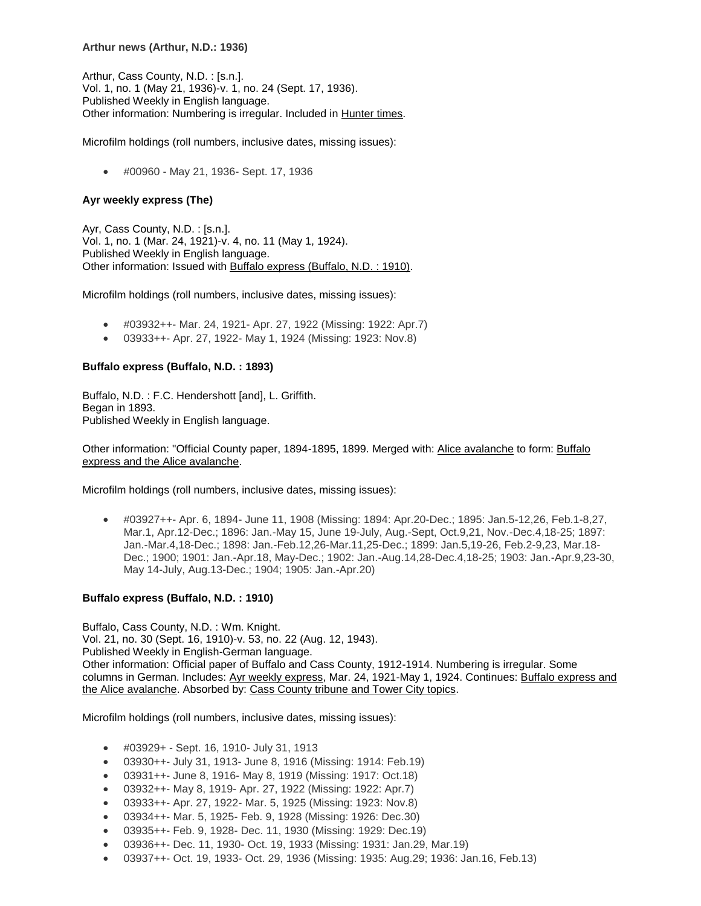#### **Arthur news (Arthur, N.D.: 1936)**

Arthur, Cass County, N.D. : [s.n.]. Vol. 1, no. 1 (May 21, 1936)-v. 1, no. 24 (Sept. 17, 1936). Published Weekly in English language. Other information: Numbering is irregular. Included in Hunter times.

Microfilm holdings (roll numbers, inclusive dates, missing issues):

#00960 - May 21, 1936- Sept. 17, 1936

## **Ayr weekly express (The)**

Ayr, Cass County, N.D. : [s.n.]. Vol. 1, no. 1 (Mar. 24, 1921)-v. 4, no. 11 (May 1, 1924). Published Weekly in English language. Other information: Issued with Buffalo express (Buffalo, N.D. : 1910).

Microfilm holdings (roll numbers, inclusive dates, missing issues):

- #03932++- Mar. 24, 1921- Apr. 27, 1922 (Missing: 1922: Apr.7)
- 03933++- Apr. 27, 1922- May 1, 1924 (Missing: 1923: Nov.8)

### **Buffalo express (Buffalo, N.D. : 1893)**

Buffalo, N.D. : F.C. Hendershott [and], L. Griffith. Began in 1893. Published Weekly in English language.

Other information: "Official County paper, 1894-1895, 1899. Merged with: Alice avalanche to form: Buffalo express and the Alice avalanche.

Microfilm holdings (roll numbers, inclusive dates, missing issues):

 #03927++- Apr. 6, 1894- June 11, 1908 (Missing: 1894: Apr.20-Dec.; 1895: Jan.5-12,26, Feb.1-8,27, Mar.1, Apr.12-Dec.; 1896: Jan.-May 15, June 19-July, Aug.-Sept, Oct.9,21, Nov.-Dec.4,18-25; 1897: Jan.-Mar.4,18-Dec.; 1898: Jan.-Feb.12,26-Mar.11,25-Dec.; 1899: Jan.5,19-26, Feb.2-9,23, Mar.18- Dec.; 1900; 1901: Jan.-Apr.18, May-Dec.; 1902: Jan.-Aug.14,28-Dec.4,18-25; 1903: Jan.-Apr.9,23-30, May 14-July, Aug.13-Dec.; 1904; 1905: Jan.-Apr.20)

#### **Buffalo express (Buffalo, N.D. : 1910)**

Buffalo, Cass County, N.D. : Wm. Knight. Vol. 21, no. 30 (Sept. 16, 1910)-v. 53, no. 22 (Aug. 12, 1943). Published Weekly in English-German language. Other information: Official paper of Buffalo and Cass County, 1912-1914. Numbering is irregular. Some columns in German. Includes: Ayr weekly express, Mar. 24, 1921-May 1, 1924. Continues: Buffalo express and the Alice avalanche. Absorbed by: Cass County tribune and Tower City topics.

- #03929+ Sept. 16, 1910- July 31, 1913
- 03930++- July 31, 1913- June 8, 1916 (Missing: 1914: Feb.19)
- 03931++- June 8, 1916- May 8, 1919 (Missing: 1917: Oct.18)
- 03932++- May 8, 1919- Apr. 27, 1922 (Missing: 1922: Apr.7)
- 03933++- Apr. 27, 1922- Mar. 5, 1925 (Missing: 1923: Nov.8)
- 03934++- Mar. 5, 1925- Feb. 9, 1928 (Missing: 1926: Dec.30)
- 03935++- Feb. 9, 1928- Dec. 11, 1930 (Missing: 1929: Dec.19)
- 03936++- Dec. 11, 1930- Oct. 19, 1933 (Missing: 1931: Jan.29, Mar.19)
- 03937++- Oct. 19, 1933- Oct. 29, 1936 (Missing: 1935: Aug.29; 1936: Jan.16, Feb.13)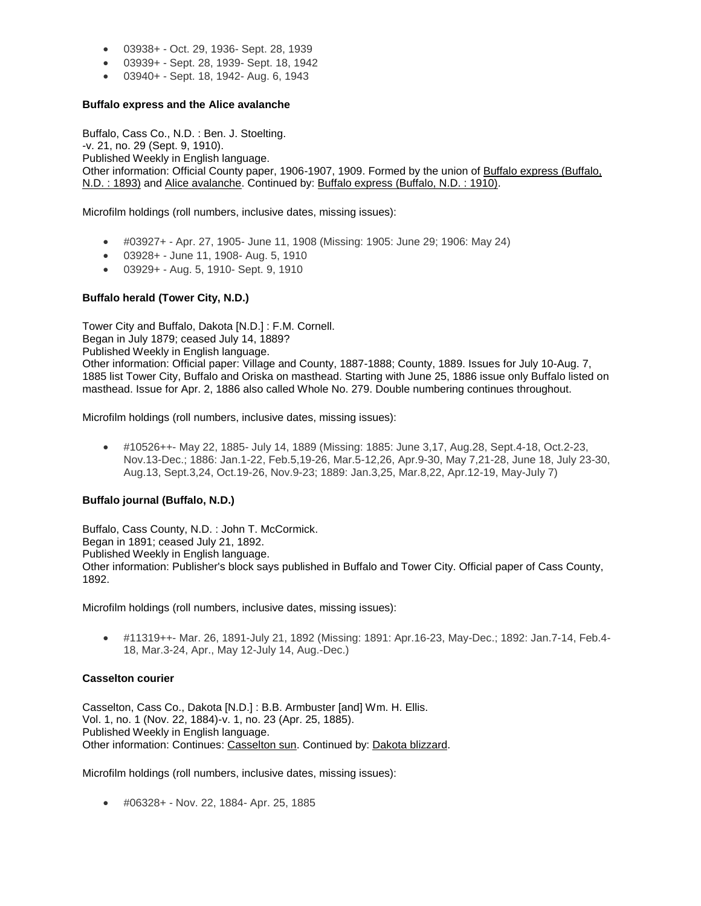- 03938+ Oct. 29, 1936- Sept. 28, 1939
- 03939+ Sept. 28, 1939- Sept. 18, 1942
- 03940+ Sept. 18, 1942- Aug. 6, 1943

### **Buffalo express and the Alice avalanche**

Buffalo, Cass Co., N.D. : Ben. J. Stoelting. -v. 21, no. 29 (Sept. 9, 1910). Published Weekly in English language. Other information: Official County paper, 1906-1907, 1909. Formed by the union of Buffalo express (Buffalo, N.D. : 1893) and Alice avalanche. Continued by: Buffalo express (Buffalo, N.D. : 1910).

Microfilm holdings (roll numbers, inclusive dates, missing issues):

- #03927+ Apr. 27, 1905- June 11, 1908 (Missing: 1905: June 29; 1906: May 24)
- 03928+ June 11, 1908- Aug. 5, 1910
- 03929+ Aug. 5, 1910- Sept. 9, 1910

### **Buffalo herald (Tower City, N.D.)**

Tower City and Buffalo, Dakota [N.D.] : F.M. Cornell. Began in July 1879; ceased July 14, 1889? Published Weekly in English language. Other information: Official paper: Village and County, 1887-1888; County, 1889. Issues for July 10-Aug. 7, 1885 list Tower City, Buffalo and Oriska on masthead. Starting with June 25, 1886 issue only Buffalo listed on masthead. Issue for Apr. 2, 1886 also called Whole No. 279. Double numbering continues throughout.

Microfilm holdings (roll numbers, inclusive dates, missing issues):

 #10526++- May 22, 1885- July 14, 1889 (Missing: 1885: June 3,17, Aug.28, Sept.4-18, Oct.2-23, Nov.13-Dec.; 1886: Jan.1-22, Feb.5,19-26, Mar.5-12,26, Apr.9-30, May 7,21-28, June 18, July 23-30, Aug.13, Sept.3,24, Oct.19-26, Nov.9-23; 1889: Jan.3,25, Mar.8,22, Apr.12-19, May-July 7)

## **Buffalo journal (Buffalo, N.D.)**

Buffalo, Cass County, N.D. : John T. McCormick. Began in 1891; ceased July 21, 1892. Published Weekly in English language. Other information: Publisher's block says published in Buffalo and Tower City. Official paper of Cass County, 1892.

Microfilm holdings (roll numbers, inclusive dates, missing issues):

 #11319++- Mar. 26, 1891-July 21, 1892 (Missing: 1891: Apr.16-23, May-Dec.; 1892: Jan.7-14, Feb.4- 18, Mar.3-24, Apr., May 12-July 14, Aug.-Dec.)

#### **Casselton courier**

Casselton, Cass Co., Dakota [N.D.] : B.B. Armbuster [and] Wm. H. Ellis. Vol. 1, no. 1 (Nov. 22, 1884)-v. 1, no. 23 (Apr. 25, 1885). Published Weekly in English language. Other information: Continues: Casselton sun. Continued by: Dakota blizzard.

Microfilm holdings (roll numbers, inclusive dates, missing issues):

#06328+ - Nov. 22, 1884- Apr. 25, 1885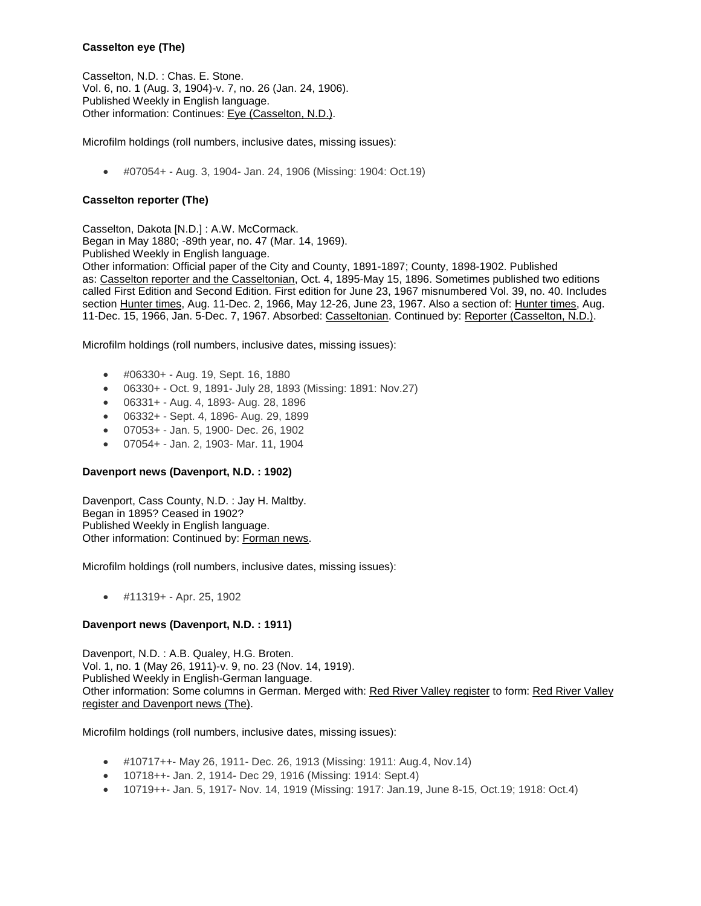# **Casselton eye (The)**

Casselton, N.D. : Chas. E. Stone. Vol. 6, no. 1 (Aug. 3, 1904)-v. 7, no. 26 (Jan. 24, 1906). Published Weekly in English language. Other information: Continues: Eye (Casselton, N.D.).

Microfilm holdings (roll numbers, inclusive dates, missing issues):

#07054+ - Aug. 3, 1904- Jan. 24, 1906 (Missing: 1904: Oct.19)

# **Casselton reporter (The)**

Casselton, Dakota [N.D.] : A.W. McCormack. Began in May 1880; -89th year, no. 47 (Mar. 14, 1969). Published Weekly in English language. Other information: Official paper of the City and County, 1891-1897; County, 1898-1902. Published as: Casselton reporter and the Casseltonian, Oct. 4, 1895-May 15, 1896. Sometimes published two editions called First Edition and Second Edition. First edition for June 23, 1967 misnumbered Vol. 39, no. 40. Includes section Hunter times, Aug. 11-Dec. 2, 1966, May 12-26, June 23, 1967. Also a section of: Hunter times, Aug. 11-Dec. 15, 1966, Jan. 5-Dec. 7, 1967. Absorbed: Casseltonian. Continued by: Reporter (Casselton, N.D.).

Microfilm holdings (roll numbers, inclusive dates, missing issues):

- #06330+ Aug. 19, Sept. 16, 1880
- 06330+ Oct. 9, 1891- July 28, 1893 (Missing: 1891: Nov.27)
- 06331+ Aug. 4, 1893- Aug. 28, 1896
- 06332+ Sept. 4, 1896- Aug. 29, 1899
- 07053+ Jan. 5, 1900- Dec. 26, 1902
- 07054+ Jan. 2, 1903- Mar. 11, 1904

## **Davenport news (Davenport, N.D. : 1902)**

Davenport, Cass County, N.D. : Jay H. Maltby. Began in 1895? Ceased in 1902? Published Weekly in English language. Other information: Continued by: Forman news.

Microfilm holdings (roll numbers, inclusive dates, missing issues):

#11319+ - Apr. 25, 1902

## **Davenport news (Davenport, N.D. : 1911)**

Davenport, N.D. : A.B. Qualey, H.G. Broten. Vol. 1, no. 1 (May 26, 1911)-v. 9, no. 23 (Nov. 14, 1919). Published Weekly in English-German language. Other information: Some columns in German. Merged with: Red River Valley register to form: Red River Valley register and Davenport news (The).

- #10717++- May 26, 1911- Dec. 26, 1913 (Missing: 1911: Aug.4, Nov.14)
- 10718++- Jan. 2, 1914- Dec 29, 1916 (Missing: 1914: Sept.4)
- 10719++- Jan. 5, 1917- Nov. 14, 1919 (Missing: 1917: Jan.19, June 8-15, Oct.19; 1918: Oct.4)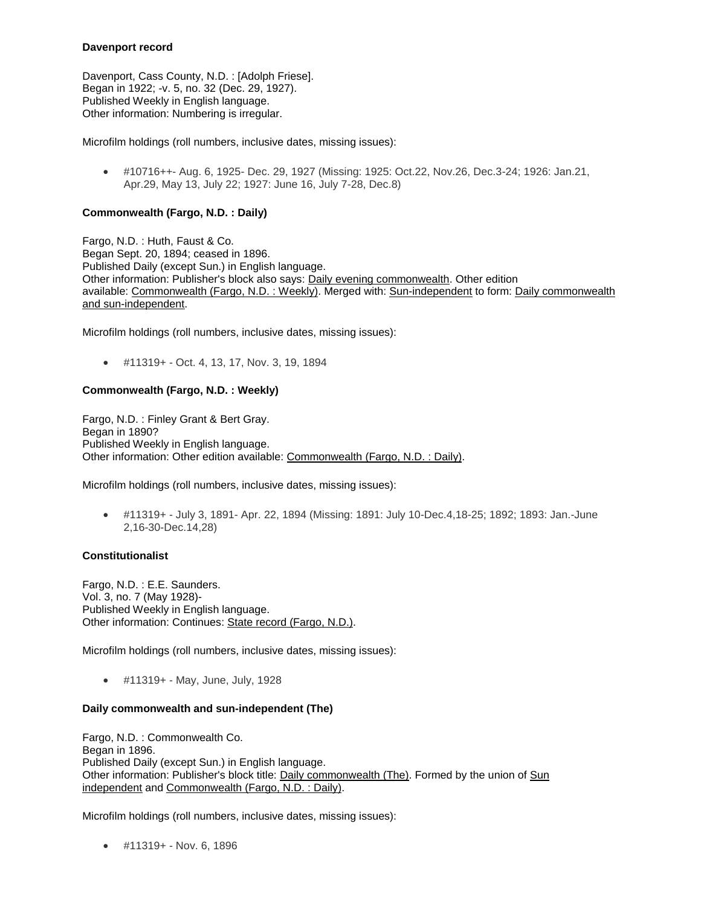### **Davenport record**

Davenport, Cass County, N.D. : [Adolph Friese]. Began in 1922; -v. 5, no. 32 (Dec. 29, 1927). Published Weekly in English language. Other information: Numbering is irregular.

Microfilm holdings (roll numbers, inclusive dates, missing issues):

 #10716++- Aug. 6, 1925- Dec. 29, 1927 (Missing: 1925: Oct.22, Nov.26, Dec.3-24; 1926: Jan.21, Apr.29, May 13, July 22; 1927: June 16, July 7-28, Dec.8)

### **Commonwealth (Fargo, N.D. : Daily)**

Fargo, N.D. : Huth, Faust & Co. Began Sept. 20, 1894; ceased in 1896. Published Daily (except Sun.) in English language. Other information: Publisher's block also says: Daily evening commonwealth. Other edition available: Commonwealth (Fargo, N.D. : Weekly). Merged with: Sun-independent to form: Daily commonwealth and sun-independent.

Microfilm holdings (roll numbers, inclusive dates, missing issues):

#11319+ - Oct. 4, 13, 17, Nov. 3, 19, 1894

### **Commonwealth (Fargo, N.D. : Weekly)**

Fargo, N.D. : Finley Grant & Bert Gray. Began in 1890? Published Weekly in English language. Other information: Other edition available: Commonwealth (Fargo, N.D. : Daily).

Microfilm holdings (roll numbers, inclusive dates, missing issues):

 #11319+ - July 3, 1891- Apr. 22, 1894 (Missing: 1891: July 10-Dec.4,18-25; 1892; 1893: Jan.-June 2,16-30-Dec.14,28)

#### **Constitutionalist**

Fargo, N.D. : E.E. Saunders. Vol. 3, no. 7 (May 1928)- Published Weekly in English language. Other information: Continues: State record (Fargo, N.D.).

Microfilm holdings (roll numbers, inclusive dates, missing issues):

#11319+ - May, June, July, 1928

#### **Daily commonwealth and sun-independent (The)**

Fargo, N.D. : Commonwealth Co. Began in 1896. Published Daily (except Sun.) in English language. Other information: Publisher's block title: Daily commonwealth (The). Formed by the union of Sun independent and Commonwealth (Fargo, N.D. : Daily).

Microfilm holdings (roll numbers, inclusive dates, missing issues):

#11319+ - Nov. 6, 1896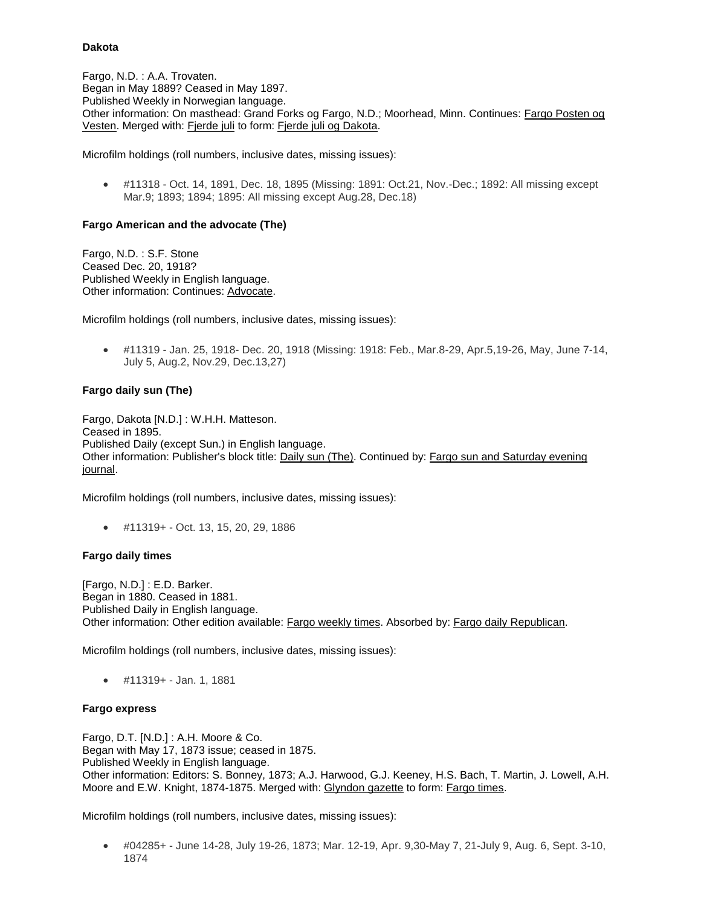#### **Dakota**

Fargo, N.D. : A.A. Trovaten. Began in May 1889? Ceased in May 1897. Published Weekly in Norwegian language. Other information: On masthead: Grand Forks og Fargo, N.D.; Moorhead, Minn. Continues: Fargo Posten og Vesten. Merged with: Fjerde juli to form: Fjerde juli og Dakota.

Microfilm holdings (roll numbers, inclusive dates, missing issues):

 #11318 - Oct. 14, 1891, Dec. 18, 1895 (Missing: 1891: Oct.21, Nov.-Dec.; 1892: All missing except Mar.9; 1893; 1894; 1895: All missing except Aug.28, Dec.18)

### **Fargo American and the advocate (The)**

Fargo, N.D. : S.F. Stone Ceased Dec. 20, 1918? Published Weekly in English language. Other information: Continues: Advocate.

Microfilm holdings (roll numbers, inclusive dates, missing issues):

 #11319 - Jan. 25, 1918- Dec. 20, 1918 (Missing: 1918: Feb., Mar.8-29, Apr.5,19-26, May, June 7-14, July 5, Aug.2, Nov.29, Dec.13,27)

## **Fargo daily sun (The)**

Fargo, Dakota [N.D.] : W.H.H. Matteson. Ceased in 1895. Published Daily (except Sun.) in English language. Other information: Publisher's block title: Daily sun (The). Continued by: Fargo sun and Saturday evening journal.

Microfilm holdings (roll numbers, inclusive dates, missing issues):

#11319+ - Oct. 13, 15, 20, 29, 1886

#### **Fargo daily times**

[Fargo, N.D.] : E.D. Barker. Began in 1880. Ceased in 1881. Published Daily in English language. Other information: Other edition available: Fargo weekly times. Absorbed by: Fargo daily Republican.

Microfilm holdings (roll numbers, inclusive dates, missing issues):

#11319+ - Jan. 1, 1881

#### **Fargo express**

Fargo, D.T. [N.D.] : A.H. Moore & Co. Began with May 17, 1873 issue; ceased in 1875. Published Weekly in English language. Other information: Editors: S. Bonney, 1873; A.J. Harwood, G.J. Keeney, H.S. Bach, T. Martin, J. Lowell, A.H. Moore and E.W. Knight, 1874-1875. Merged with: Glyndon gazette to form: Fargo times.

Microfilm holdings (roll numbers, inclusive dates, missing issues):

 #04285+ - June 14-28, July 19-26, 1873; Mar. 12-19, Apr. 9,30-May 7, 21-July 9, Aug. 6, Sept. 3-10, 1874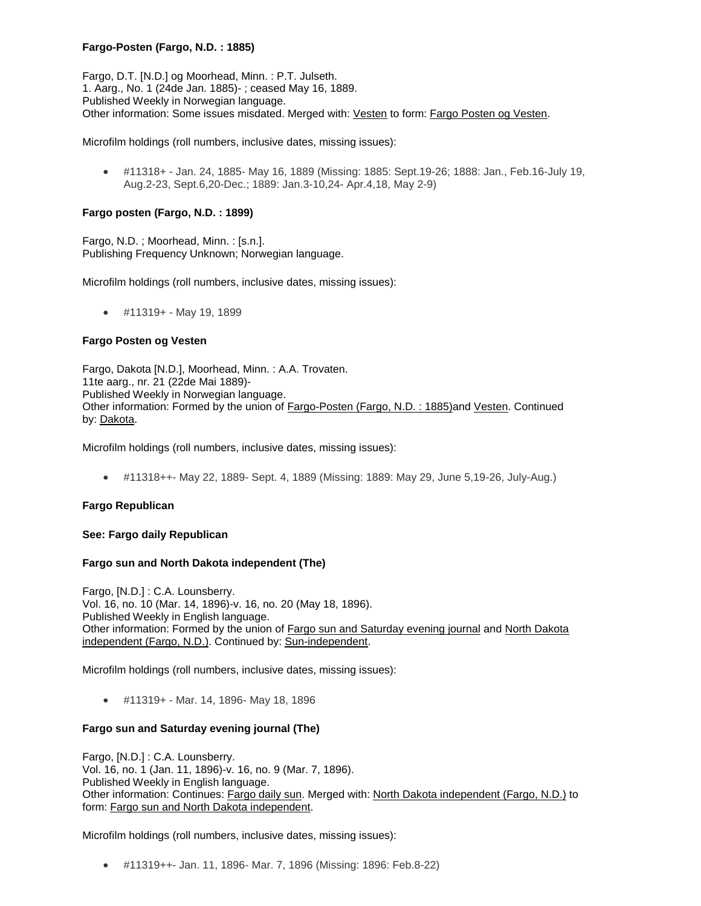# **Fargo-Posten (Fargo, N.D. : 1885)**

Fargo, D.T. [N.D.] og Moorhead, Minn. : P.T. Julseth. 1. Aarg., No. 1 (24de Jan. 1885)- ; ceased May 16, 1889. Published Weekly in Norwegian language. Other information: Some issues misdated. Merged with: Vesten to form: Fargo Posten og Vesten.

Microfilm holdings (roll numbers, inclusive dates, missing issues):

 #11318+ - Jan. 24, 1885- May 16, 1889 (Missing: 1885: Sept.19-26; 1888: Jan., Feb.16-July 19, Aug.2-23, Sept.6,20-Dec.; 1889: Jan.3-10,24- Apr.4,18, May 2-9)

### **Fargo posten (Fargo, N.D. : 1899)**

Fargo, N.D. ; Moorhead, Minn. : [s.n.]. Publishing Frequency Unknown; Norwegian language.

Microfilm holdings (roll numbers, inclusive dates, missing issues):

#11319+ - May 19, 1899

#### **Fargo Posten og Vesten**

Fargo, Dakota [N.D.], Moorhead, Minn. : A.A. Trovaten. 11te aarg., nr. 21 (22de Mai 1889)- Published Weekly in Norwegian language. Other information: Formed by the union of Fargo-Posten (Fargo, N.D. : 1885)and Vesten. Continued by: Dakota.

Microfilm holdings (roll numbers, inclusive dates, missing issues):

#11318++- May 22, 1889- Sept. 4, 1889 (Missing: 1889: May 29, June 5,19-26, July-Aug.)

#### **Fargo Republican**

#### **See: Fargo daily Republican**

#### **Fargo sun and North Dakota independent (The)**

Fargo, [N.D.] : C.A. Lounsberry. Vol. 16, no. 10 (Mar. 14, 1896)-v. 16, no. 20 (May 18, 1896). Published Weekly in English language. Other information: Formed by the union of **Fargo sun and Saturday evening journal** and North Dakota independent (Fargo, N.D.). Continued by: Sun-independent.

Microfilm holdings (roll numbers, inclusive dates, missing issues):

#11319+ - Mar. 14, 1896- May 18, 1896

#### **Fargo sun and Saturday evening journal (The)**

Fargo, [N.D.] : C.A. Lounsberry. Vol. 16, no. 1 (Jan. 11, 1896)-v. 16, no. 9 (Mar. 7, 1896). Published Weekly in English language. Other information: Continues: Fargo daily sun. Merged with: North Dakota independent (Fargo, N.D.) to form: Fargo sun and North Dakota independent.

Microfilm holdings (roll numbers, inclusive dates, missing issues):

#11319++- Jan. 11, 1896- Mar. 7, 1896 (Missing: 1896: Feb.8-22)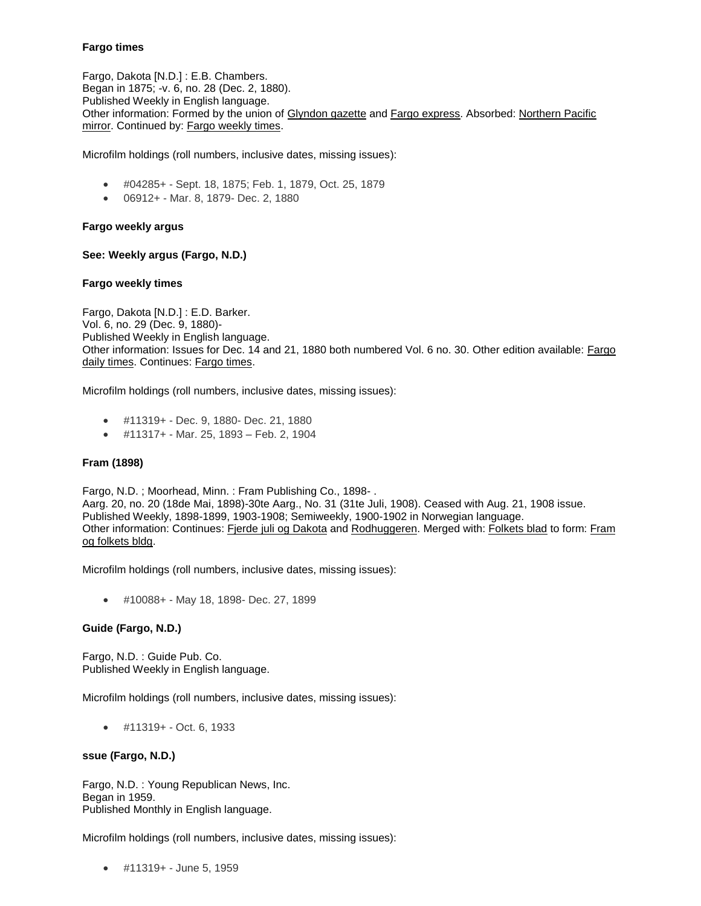## **Fargo times**

Fargo, Dakota [N.D.] : E.B. Chambers. Began in 1875; -v. 6, no. 28 (Dec. 2, 1880). Published Weekly in English language. Other information: Formed by the union of Glyndon gazette and Fargo express. Absorbed: Northern Pacific mirror. Continued by: Fargo weekly times.

Microfilm holdings (roll numbers, inclusive dates, missing issues):

- #04285+ Sept. 18, 1875; Feb. 1, 1879, Oct. 25, 1879
- 06912+ Mar. 8, 1879- Dec. 2, 1880

#### **Fargo weekly argus**

### **See: Weekly argus (Fargo, N.D.)**

#### **Fargo weekly times**

Fargo, Dakota [N.D.] : E.D. Barker. Vol. 6, no. 29 (Dec. 9, 1880)- Published Weekly in English language. Other information: Issues for Dec. 14 and 21, 1880 both numbered Vol. 6 no. 30. Other edition available: Fargo daily times. Continues: Fargo times.

Microfilm holdings (roll numbers, inclusive dates, missing issues):

- #11319+ Dec. 9, 1880- Dec. 21, 1880
- #11317+ Mar. 25, 1893 Feb. 2, 1904

#### **Fram (1898)**

Fargo, N.D. ; Moorhead, Minn. : Fram Publishing Co., 1898- . Aarg. 20, no. 20 (18de Mai, 1898)-30te Aarg., No. 31 (31te Juli, 1908). Ceased with Aug. 21, 1908 issue. Published Weekly, 1898-1899, 1903-1908; Semiweekly, 1900-1902 in Norwegian language. Other information: Continues: Fjerde juli og Dakota and Rodhuggeren. Merged with: Folkets blad to form: Fram og folkets bldg.

Microfilm holdings (roll numbers, inclusive dates, missing issues):

#10088+ - May 18, 1898- Dec. 27, 1899

#### **Guide (Fargo, N.D.)**

Fargo, N.D. : Guide Pub. Co. Published Weekly in English language.

Microfilm holdings (roll numbers, inclusive dates, missing issues):

#11319+ - Oct. 6, 1933

#### **ssue (Fargo, N.D.)**

Fargo, N.D. : Young Republican News, Inc. Began in 1959. Published Monthly in English language.

Microfilm holdings (roll numbers, inclusive dates, missing issues):

#11319+ - June 5, 1959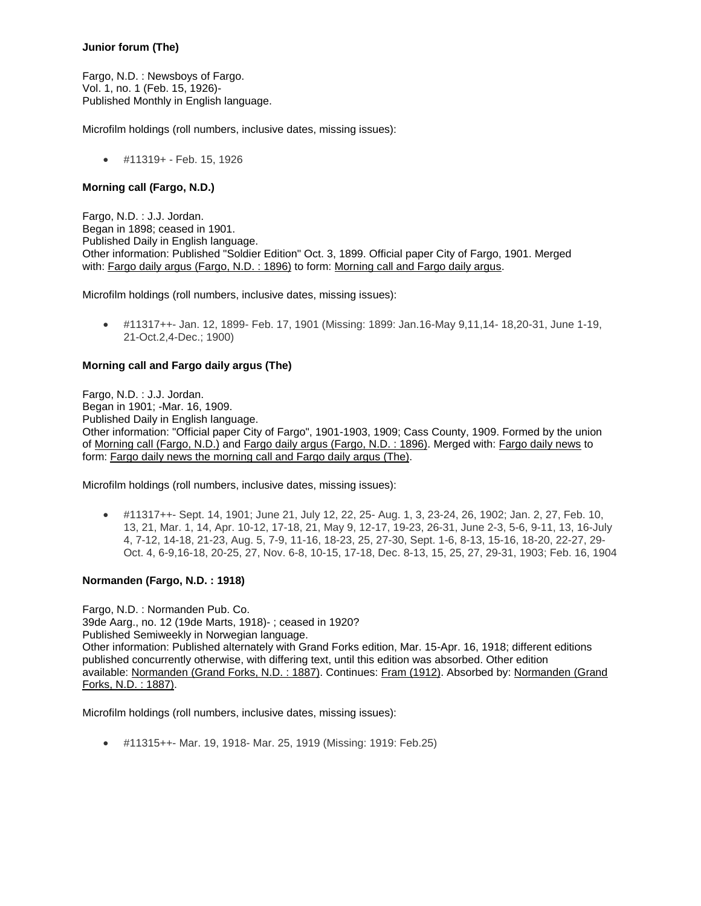# **Junior forum (The)**

Fargo, N.D. : Newsboys of Fargo. Vol. 1, no. 1 (Feb. 15, 1926)- Published Monthly in English language.

Microfilm holdings (roll numbers, inclusive dates, missing issues):

#11319+ - Feb. 15, 1926

### **Morning call (Fargo, N.D.)**

Fargo, N.D. : J.J. Jordan. Began in 1898; ceased in 1901. Published Daily in English language. Other information: Published "Soldier Edition" Oct. 3, 1899. Official paper City of Fargo, 1901. Merged with: Fargo daily argus (Fargo, N.D. : 1896) to form: Morning call and Fargo daily argus.

Microfilm holdings (roll numbers, inclusive dates, missing issues):

 #11317++- Jan. 12, 1899- Feb. 17, 1901 (Missing: 1899: Jan.16-May 9,11,14- 18,20-31, June 1-19, 21-Oct.2,4-Dec.; 1900)

## **Morning call and Fargo daily argus (The)**

Fargo, N.D. : J.J. Jordan. Began in 1901; -Mar. 16, 1909. Published Daily in English language. Other information: "Official paper City of Fargo", 1901-1903, 1909; Cass County, 1909. Formed by the union of Morning call (Fargo, N.D.) and Fargo daily argus (Fargo, N.D. : 1896). Merged with: Fargo daily news to form: Fargo daily news the morning call and Fargo daily argus (The).

Microfilm holdings (roll numbers, inclusive dates, missing issues):

 #11317++- Sept. 14, 1901; June 21, July 12, 22, 25- Aug. 1, 3, 23-24, 26, 1902; Jan. 2, 27, Feb. 10, 13, 21, Mar. 1, 14, Apr. 10-12, 17-18, 21, May 9, 12-17, 19-23, 26-31, June 2-3, 5-6, 9-11, 13, 16-July 4, 7-12, 14-18, 21-23, Aug. 5, 7-9, 11-16, 18-23, 25, 27-30, Sept. 1-6, 8-13, 15-16, 18-20, 22-27, 29- Oct. 4, 6-9,16-18, 20-25, 27, Nov. 6-8, 10-15, 17-18, Dec. 8-13, 15, 25, 27, 29-31, 1903; Feb. 16, 1904

# **Normanden (Fargo, N.D. : 1918)**

Fargo, N.D. : Normanden Pub. Co. 39de Aarg., no. 12 (19de Marts, 1918)- ; ceased in 1920? Published Semiweekly in Norwegian language. Other information: Published alternately with Grand Forks edition, Mar. 15-Apr. 16, 1918; different editions published concurrently otherwise, with differing text, until this edition was absorbed. Other edition available: Normanden (Grand Forks, N.D. : 1887). Continues: Fram (1912). Absorbed by: Normanden (Grand Forks, N.D. : 1887).

Microfilm holdings (roll numbers, inclusive dates, missing issues):

#11315++- Mar. 19, 1918- Mar. 25, 1919 (Missing: 1919: Feb.25)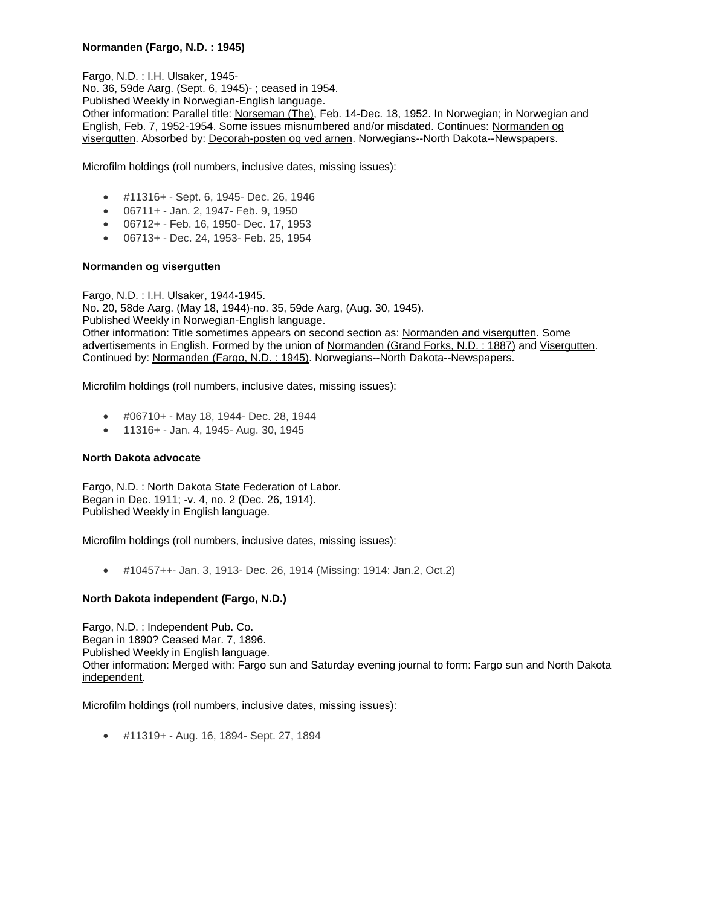# **Normanden (Fargo, N.D. : 1945)**

Fargo, N.D. : I.H. Ulsaker, 1945- No. 36, 59de Aarg. (Sept. 6, 1945)- ; ceased in 1954. Published Weekly in Norwegian-English language. Other information: Parallel title: Norseman (The), Feb. 14-Dec. 18, 1952. In Norwegian; in Norwegian and English, Feb. 7, 1952-1954. Some issues misnumbered and/or misdated. Continues: Normanden og visergutten. Absorbed by: Decorah-posten og ved arnen. Norwegians--North Dakota--Newspapers.

Microfilm holdings (roll numbers, inclusive dates, missing issues):

- #11316+ Sept. 6, 1945- Dec. 26, 1946
- 06711+ Jan. 2, 1947- Feb. 9, 1950
- 06712+ Feb. 16, 1950- Dec. 17, 1953
- 06713+ Dec. 24, 1953- Feb. 25, 1954

### **Normanden og visergutten**

Fargo, N.D. : I.H. Ulsaker, 1944-1945. No. 20, 58de Aarg. (May 18, 1944)-no. 35, 59de Aarg, (Aug. 30, 1945). Published Weekly in Norwegian-English language. Other information: Title sometimes appears on second section as: Normanden and visergutten. Some advertisements in English. Formed by the union of Normanden (Grand Forks, N.D. : 1887) and Visergutten. Continued by: Normanden (Fargo, N.D. : 1945). Norwegians--North Dakota--Newspapers.

Microfilm holdings (roll numbers, inclusive dates, missing issues):

- #06710+ May 18, 1944- Dec. 28, 1944
- 11316+ Jan. 4, 1945- Aug. 30, 1945

#### **North Dakota advocate**

Fargo, N.D. : North Dakota State Federation of Labor. Began in Dec. 1911; -v. 4, no. 2 (Dec. 26, 1914). Published Weekly in English language.

Microfilm holdings (roll numbers, inclusive dates, missing issues):

#10457++- Jan. 3, 1913- Dec. 26, 1914 (Missing: 1914: Jan.2, Oct.2)

## **North Dakota independent (Fargo, N.D.)**

Fargo, N.D. : Independent Pub. Co. Began in 1890? Ceased Mar. 7, 1896. Published Weekly in English language. Other information: Merged with: Fargo sun and Saturday evening journal to form: Fargo sun and North Dakota independent.

Microfilm holdings (roll numbers, inclusive dates, missing issues):

#11319+ - Aug. 16, 1894- Sept. 27, 1894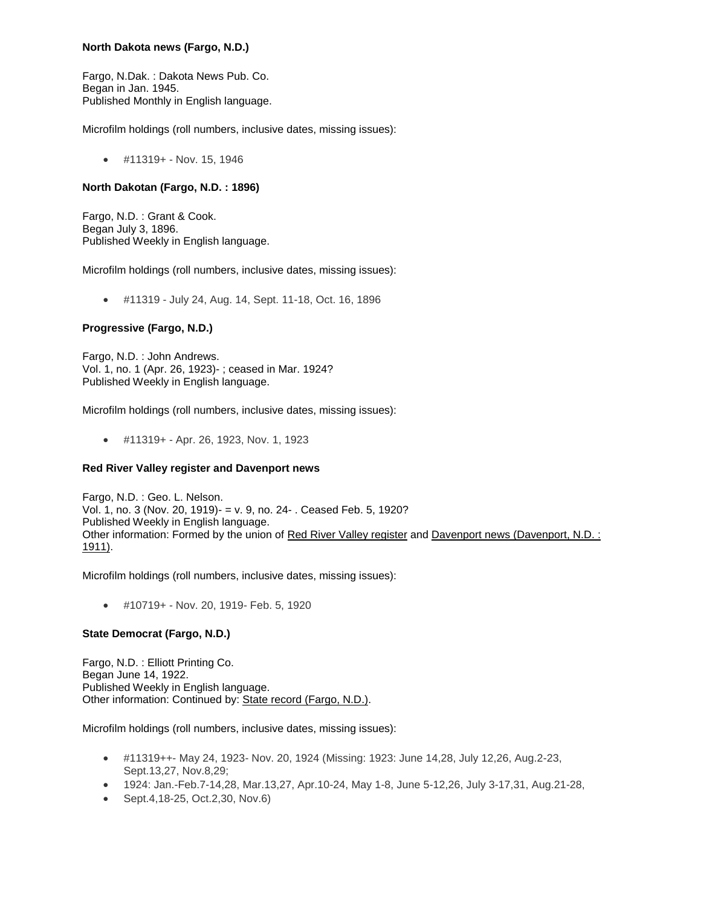## **North Dakota news (Fargo, N.D.)**

Fargo, N.Dak. : Dakota News Pub. Co. Began in Jan. 1945. Published Monthly in English language.

Microfilm holdings (roll numbers, inclusive dates, missing issues):

#11319+ - Nov. 15, 1946

## **North Dakotan (Fargo, N.D. : 1896)**

Fargo, N.D. : Grant & Cook. Began July 3, 1896. Published Weekly in English language.

Microfilm holdings (roll numbers, inclusive dates, missing issues):

#11319 - July 24, Aug. 14, Sept. 11-18, Oct. 16, 1896

## **Progressive (Fargo, N.D.)**

Fargo, N.D. : John Andrews. Vol. 1, no. 1 (Apr. 26, 1923)- ; ceased in Mar. 1924? Published Weekly in English language.

Microfilm holdings (roll numbers, inclusive dates, missing issues):

#11319+ - Apr. 26, 1923, Nov. 1, 1923

## **Red River Valley register and Davenport news**

Fargo, N.D. : Geo. L. Nelson. Vol. 1, no. 3 (Nov. 20, 1919)- = v. 9, no. 24- . Ceased Feb. 5, 1920? Published Weekly in English language. Other information: Formed by the union of Red River Valley register and Davenport news (Davenport, N.D. : 1911).

Microfilm holdings (roll numbers, inclusive dates, missing issues):

#10719+ - Nov. 20, 1919- Feb. 5, 1920

## **State Democrat (Fargo, N.D.)**

Fargo, N.D. : Elliott Printing Co. Began June 14, 1922. Published Weekly in English language. Other information: Continued by: State record (Fargo, N.D.).

- #11319++- May 24, 1923- Nov. 20, 1924 (Missing: 1923: June 14,28, July 12,26, Aug.2-23, Sept.13,27, Nov.8,29;
- 1924: Jan.-Feb.7-14,28, Mar.13,27, Apr.10-24, May 1-8, June 5-12,26, July 3-17,31, Aug.21-28,
- Sept.4,18-25, Oct.2,30, Nov.6)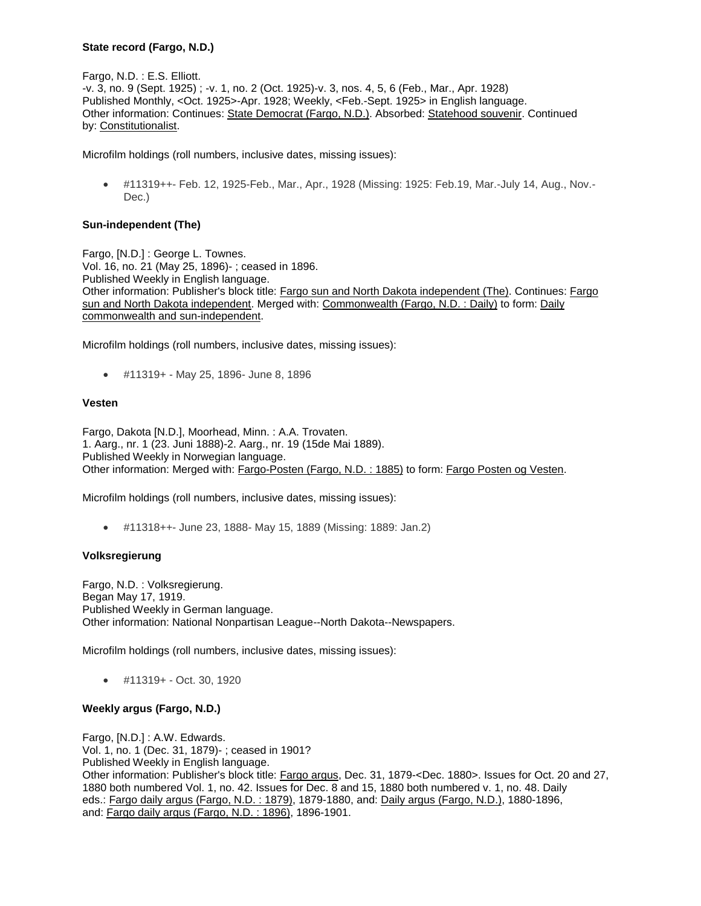### **State record (Fargo, N.D.)**

Fargo, N.D. : E.S. Elliott. -v. 3, no. 9 (Sept. 1925) ; -v. 1, no. 2 (Oct. 1925)-v. 3, nos. 4, 5, 6 (Feb., Mar., Apr. 1928) Published Monthly, <Oct. 1925>-Apr. 1928; Weekly, <Feb.-Sept. 1925> in English language. Other information: Continues: State Democrat (Fargo, N.D.). Absorbed: Statehood souvenir. Continued by: Constitutionalist.

Microfilm holdings (roll numbers, inclusive dates, missing issues):

 #11319++- Feb. 12, 1925-Feb., Mar., Apr., 1928 (Missing: 1925: Feb.19, Mar.-July 14, Aug., Nov.- Dec.)

### **Sun-independent (The)**

Fargo, [N.D.] : George L. Townes. Vol. 16, no. 21 (May 25, 1896)- ; ceased in 1896. Published Weekly in English language. Other information: Publisher's block title: Fargo sun and North Dakota independent (The). Continues: Fargo sun and North Dakota independent. Merged with: Commonwealth (Fargo, N.D. : Daily) to form: Daily commonwealth and sun-independent.

Microfilm holdings (roll numbers, inclusive dates, missing issues):

#11319+ - May 25, 1896- June 8, 1896

#### **Vesten**

Fargo, Dakota [N.D.], Moorhead, Minn. : A.A. Trovaten. 1. Aarg., nr. 1 (23. Juni 1888)-2. Aarg., nr. 19 (15de Mai 1889). Published Weekly in Norwegian language. Other information: Merged with: Fargo-Posten (Fargo, N.D. : 1885) to form: Fargo Posten og Vesten.

Microfilm holdings (roll numbers, inclusive dates, missing issues):

#11318++- June 23, 1888- May 15, 1889 (Missing: 1889: Jan.2)

#### **Volksregierung**

Fargo, N.D. : Volksregierung. Began May 17, 1919. Published Weekly in German language. Other information: National Nonpartisan League--North Dakota--Newspapers.

Microfilm holdings (roll numbers, inclusive dates, missing issues):

#11319+ - Oct. 30, 1920

#### **Weekly argus (Fargo, N.D.)**

Fargo, [N.D.] : A.W. Edwards. Vol. 1, no. 1 (Dec. 31, 1879)- ; ceased in 1901? Published Weekly in English language. Other information: Publisher's block title: Fargo argus, Dec. 31, 1879-<Dec. 1880>. Issues for Oct. 20 and 27, 1880 both numbered Vol. 1, no. 42. Issues for Dec. 8 and 15, 1880 both numbered v. 1, no. 48. Daily eds.: Fargo daily argus (Fargo, N.D. : 1879), 1879-1880, and: Daily argus (Fargo, N.D.), 1880-1896, and: Fargo daily argus (Fargo, N.D. : 1896), 1896-1901.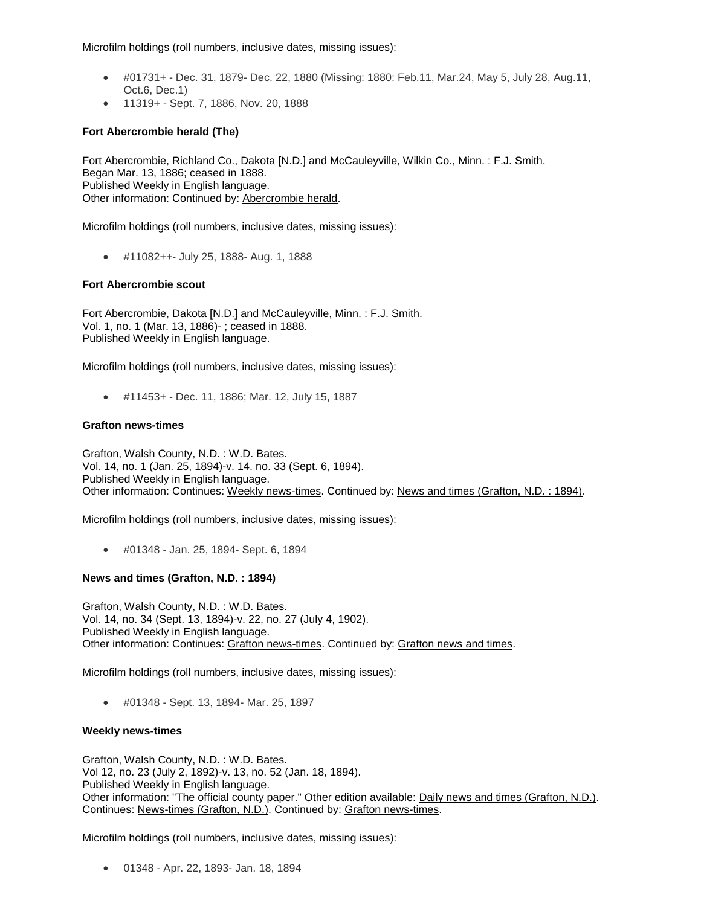Microfilm holdings (roll numbers, inclusive dates, missing issues):

- #01731+ Dec. 31, 1879- Dec. 22, 1880 (Missing: 1880: Feb.11, Mar.24, May 5, July 28, Aug.11, Oct.6, Dec.1)
- 11319+ Sept. 7, 1886, Nov. 20, 1888

# **Fort Abercrombie herald (The)**

Fort Abercrombie, Richland Co., Dakota [N.D.] and McCauleyville, Wilkin Co., Minn. : F.J. Smith. Began Mar. 13, 1886; ceased in 1888. Published Weekly in English language. Other information: Continued by: Abercrombie herald.

Microfilm holdings (roll numbers, inclusive dates, missing issues):

#11082++- July 25, 1888- Aug. 1, 1888

### **Fort Abercrombie scout**

Fort Abercrombie, Dakota [N.D.] and McCauleyville, Minn. : F.J. Smith. Vol. 1, no. 1 (Mar. 13, 1886)- ; ceased in 1888. Published Weekly in English language.

Microfilm holdings (roll numbers, inclusive dates, missing issues):

#11453+ - Dec. 11, 1886; Mar. 12, July 15, 1887

### **Grafton news-times**

Grafton, Walsh County, N.D. : W.D. Bates. Vol. 14, no. 1 (Jan. 25, 1894)-v. 14. no. 33 (Sept. 6, 1894). Published Weekly in English language. Other information: Continues: Weekly news-times. Continued by: News and times (Grafton, N.D. : 1894).

Microfilm holdings (roll numbers, inclusive dates, missing issues):

#01348 - Jan. 25, 1894- Sept. 6, 1894

## **News and times (Grafton, N.D. : 1894)**

Grafton, Walsh County, N.D. : W.D. Bates. Vol. 14, no. 34 (Sept. 13, 1894)-v. 22, no. 27 (July 4, 1902). Published Weekly in English language. Other information: Continues: Grafton news-times. Continued by: Grafton news and times.

Microfilm holdings (roll numbers, inclusive dates, missing issues):

#01348 - Sept. 13, 1894- Mar. 25, 1897

## **Weekly news-times**

Grafton, Walsh County, N.D. : W.D. Bates. Vol 12, no. 23 (July 2, 1892)-v. 13, no. 52 (Jan. 18, 1894). Published Weekly in English language. Other information: "The official county paper." Other edition available: Daily news and times (Grafton, N.D.). Continues: News-times (Grafton, N.D.). Continued by: Grafton news-times.

Microfilm holdings (roll numbers, inclusive dates, missing issues):

01348 - Apr. 22, 1893- Jan. 18, 1894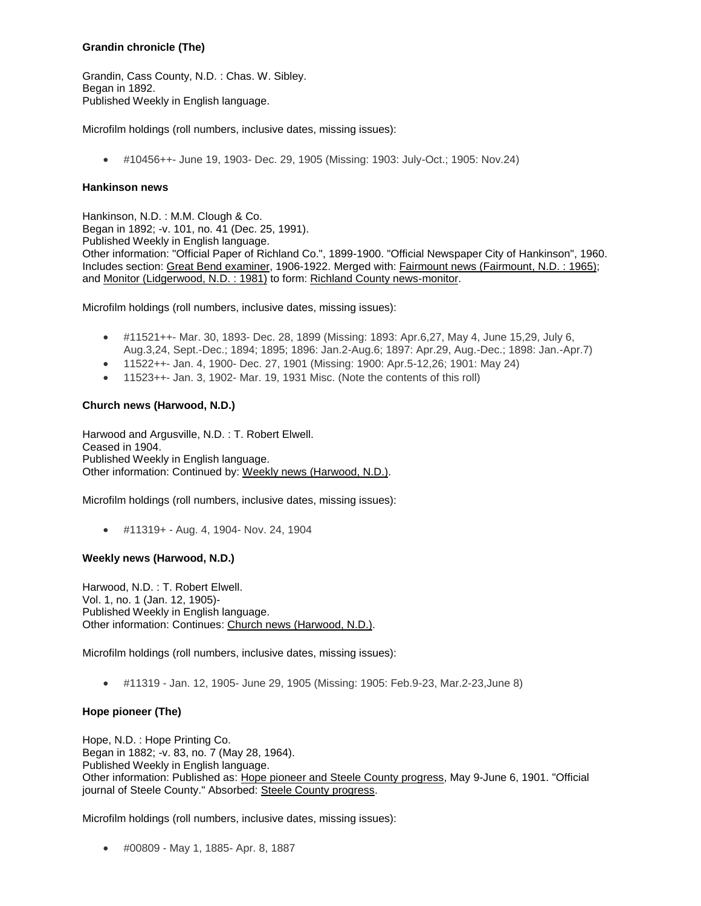### **Grandin chronicle (The)**

Grandin, Cass County, N.D. : Chas. W. Sibley. Began in 1892. Published Weekly in English language.

Microfilm holdings (roll numbers, inclusive dates, missing issues):

#10456++- June 19, 1903- Dec. 29, 1905 (Missing: 1903: July-Oct.; 1905: Nov.24)

#### **Hankinson news**

Hankinson, N.D. : M.M. Clough & Co. Began in 1892; -v. 101, no. 41 (Dec. 25, 1991). Published Weekly in English language. Other information: "Official Paper of Richland Co.", 1899-1900. "Official Newspaper City of Hankinson", 1960. Includes section: Great Bend examiner, 1906-1922. Merged with: Fairmount news (Fairmount, N.D. : 1965); and Monitor (Lidgerwood, N.D. : 1981) to form: Richland County news-monitor.

Microfilm holdings (roll numbers, inclusive dates, missing issues):

- #11521++- Mar. 30, 1893- Dec. 28, 1899 (Missing: 1893: Apr.6,27, May 4, June 15,29, July 6, Aug.3,24, Sept.-Dec.; 1894; 1895; 1896: Jan.2-Aug.6; 1897: Apr.29, Aug.-Dec.; 1898: Jan.-Apr.7)
- 11522++- Jan. 4, 1900- Dec. 27, 1901 (Missing: 1900: Apr.5-12,26; 1901: May 24)
- 11523++- Jan. 3, 1902- Mar. 19, 1931 Misc. (Note the contents of this roll)

# **Church news (Harwood, N.D.)**

Harwood and Argusville, N.D. : T. Robert Elwell. Ceased in 1904. Published Weekly in English language. Other information: Continued by: Weekly news (Harwood, N.D.).

Microfilm holdings (roll numbers, inclusive dates, missing issues):

#11319+ - Aug. 4, 1904- Nov. 24, 1904

#### **Weekly news (Harwood, N.D.)**

Harwood, N.D. : T. Robert Elwell. Vol. 1, no. 1 (Jan. 12, 1905)- Published Weekly in English language. Other information: Continues: Church news (Harwood, N.D.).

Microfilm holdings (roll numbers, inclusive dates, missing issues):

#11319 - Jan. 12, 1905- June 29, 1905 (Missing: 1905: Feb.9-23, Mar.2-23,June 8)

## **Hope pioneer (The)**

Hope, N.D. : Hope Printing Co. Began in 1882; -v. 83, no. 7 (May 28, 1964). Published Weekly in English language. Other information: Published as: Hope pioneer and Steele County progress, May 9-June 6, 1901. "Official journal of Steele County." Absorbed: Steele County progress.

Microfilm holdings (roll numbers, inclusive dates, missing issues):

#00809 - May 1, 1885- Apr. 8, 1887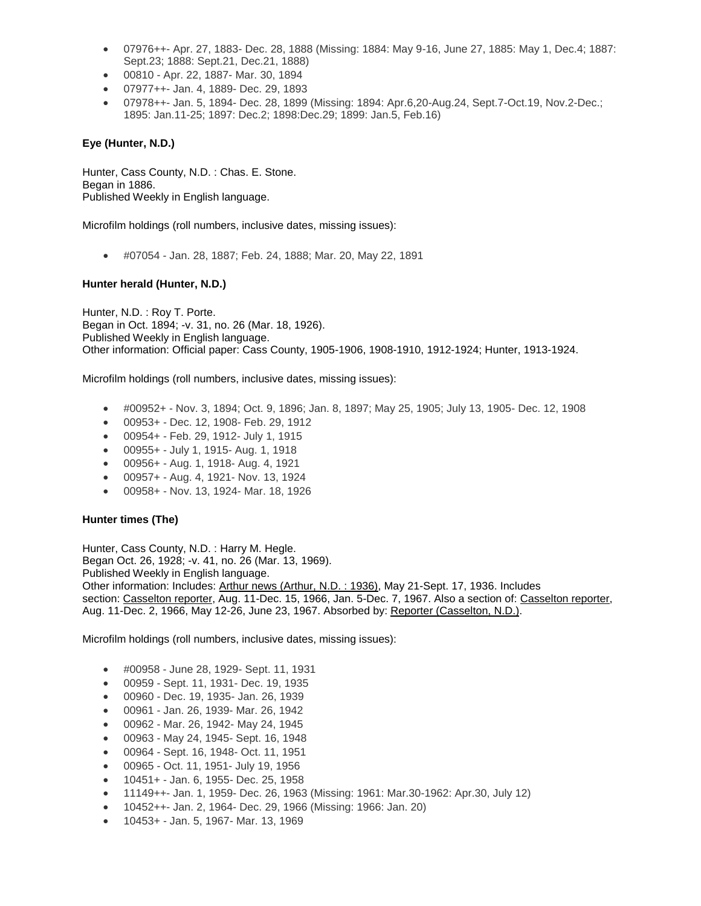- 07976++- Apr. 27, 1883- Dec. 28, 1888 (Missing: 1884: May 9-16, June 27, 1885: May 1, Dec.4; 1887: Sept.23; 1888: Sept.21, Dec.21, 1888)
- 00810 Apr. 22, 1887- Mar. 30, 1894
- 07977++- Jan. 4, 1889- Dec. 29, 1893
- 07978++- Jan. 5, 1894- Dec. 28, 1899 (Missing: 1894: Apr.6,20-Aug.24, Sept.7-Oct.19, Nov.2-Dec.; 1895: Jan.11-25; 1897: Dec.2; 1898:Dec.29; 1899: Jan.5, Feb.16)

## **Eye (Hunter, N.D.)**

Hunter, Cass County, N.D. : Chas. E. Stone. Began in 1886. Published Weekly in English language.

Microfilm holdings (roll numbers, inclusive dates, missing issues):

#07054 - Jan. 28, 1887; Feb. 24, 1888; Mar. 20, May 22, 1891

## **Hunter herald (Hunter, N.D.)**

Hunter, N.D. : Roy T. Porte. Began in Oct. 1894; -v. 31, no. 26 (Mar. 18, 1926). Published Weekly in English language. Other information: Official paper: Cass County, 1905-1906, 1908-1910, 1912-1924; Hunter, 1913-1924.

Microfilm holdings (roll numbers, inclusive dates, missing issues):

- #00952+ Nov. 3, 1894; Oct. 9, 1896; Jan. 8, 1897; May 25, 1905; July 13, 1905- Dec. 12, 1908
- 00953+ Dec. 12, 1908- Feb. 29, 1912
- 00954+ Feb. 29, 1912- July 1, 1915
- 00955+ July 1, 1915- Aug. 1, 1918
- 00956+ Aug. 1, 1918- Aug. 4, 1921
- 00957+ Aug. 4, 1921- Nov. 13, 1924
- 00958+ Nov. 13, 1924- Mar. 18, 1926

## **Hunter times (The)**

Hunter, Cass County, N.D. : Harry M. Hegle. Began Oct. 26, 1928; -v. 41, no. 26 (Mar. 13, 1969). Published Weekly in English language. Other information: Includes: Arthur news (Arthur, N.D. : 1936), May 21-Sept. 17, 1936. Includes section: Casselton reporter, Aug. 11-Dec. 15, 1966, Jan. 5-Dec. 7, 1967. Also a section of: Casselton reporter, Aug. 11-Dec. 2, 1966, May 12-26, June 23, 1967. Absorbed by: Reporter (Casselton, N.D.).

- #00958 June 28, 1929- Sept. 11, 1931
- 00959 Sept. 11, 1931- Dec. 19, 1935
- 00960 Dec. 19, 1935- Jan. 26, 1939
- 00961 Jan. 26, 1939- Mar. 26, 1942
- 00962 Mar. 26, 1942- May 24, 1945
- 00963 May 24, 1945- Sept. 16, 1948
- 00964 Sept. 16, 1948- Oct. 11, 1951
- 00965 Oct. 11, 1951- July 19, 1956
- 10451+ Jan. 6, 1955- Dec. 25, 1958
- 11149++- Jan. 1, 1959- Dec. 26, 1963 (Missing: 1961: Mar.30-1962: Apr.30, July 12)
- 10452++- Jan. 2, 1964- Dec. 29, 1966 (Missing: 1966: Jan. 20)
- 10453+ Jan. 5, 1967- Mar. 13, 1969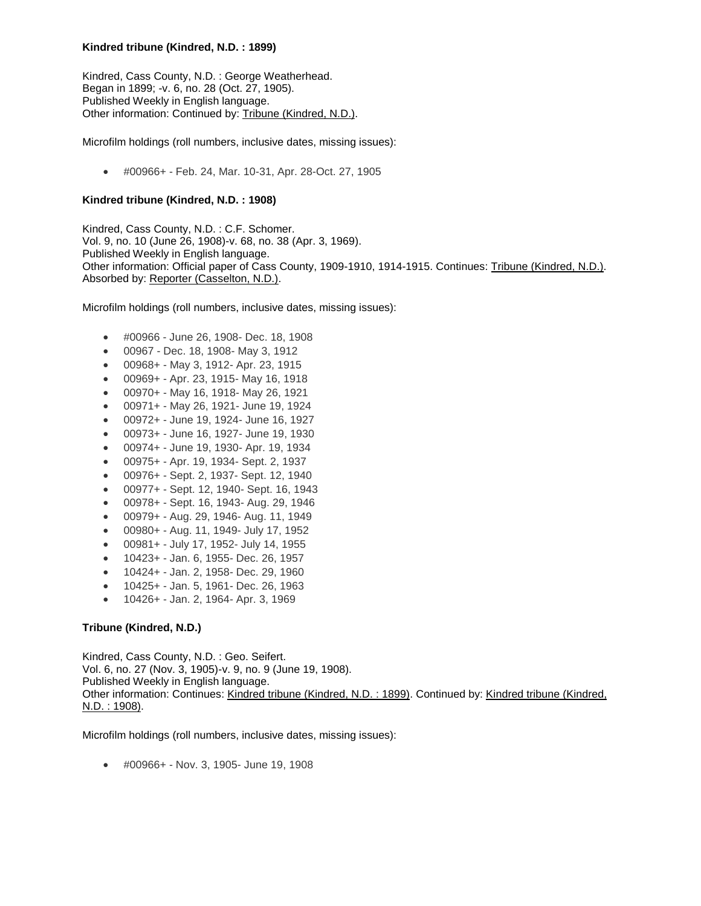### **Kindred tribune (Kindred, N.D. : 1899)**

Kindred, Cass County, N.D. : George Weatherhead. Began in 1899; -v. 6, no. 28 (Oct. 27, 1905). Published Weekly in English language. Other information: Continued by: Tribune (Kindred, N.D.).

Microfilm holdings (roll numbers, inclusive dates, missing issues):

#00966+ - Feb. 24, Mar. 10-31, Apr. 28-Oct. 27, 1905

## **Kindred tribune (Kindred, N.D. : 1908)**

Kindred, Cass County, N.D. : C.F. Schomer. Vol. 9, no. 10 (June 26, 1908)-v. 68, no. 38 (Apr. 3, 1969). Published Weekly in English language. Other information: Official paper of Cass County, 1909-1910, 1914-1915. Continues: Tribune (Kindred, N.D.). Absorbed by: Reporter (Casselton, N.D.).

Microfilm holdings (roll numbers, inclusive dates, missing issues):

- #00966 June 26, 1908- Dec. 18, 1908
- 00967 Dec. 18, 1908- May 3, 1912
- 00968+ May 3, 1912- Apr. 23, 1915
- 00969+ Apr. 23, 1915- May 16, 1918
- 00970+ May 16, 1918- May 26, 1921
- 00971+ May 26, 1921- June 19, 1924
- 00972+ June 19, 1924- June 16, 1927
- 00973+ June 16, 1927- June 19, 1930
- 00974+ June 19, 1930- Apr. 19, 1934
- 00975+ Apr. 19, 1934- Sept. 2, 1937
- 00976+ Sept. 2, 1937- Sept. 12, 1940
- 00977+ Sept. 12, 1940- Sept. 16, 1943
- 00978+ Sept. 16, 1943- Aug. 29, 1946
- 00979+ Aug. 29, 1946- Aug. 11, 1949
- 00980+ Aug. 11, 1949- July 17, 1952
- 00981+ July 17, 1952- July 14, 1955
- 10423+ Jan. 6, 1955- Dec. 26, 1957
- 10424+ Jan. 2, 1958- Dec. 29, 1960
- 10425+ Jan. 5, 1961- Dec. 26, 1963
- 10426+ Jan. 2, 1964- Apr. 3, 1969

## **Tribune (Kindred, N.D.)**

Kindred, Cass County, N.D. : Geo. Seifert. Vol. 6, no. 27 (Nov. 3, 1905)-v. 9, no. 9 (June 19, 1908). Published Weekly in English language. Other information: Continues: Kindred tribune (Kindred, N.D. : 1899). Continued by: Kindred tribune (Kindred, N.D. : 1908).

Microfilm holdings (roll numbers, inclusive dates, missing issues):

#00966+ - Nov. 3, 1905- June 19, 1908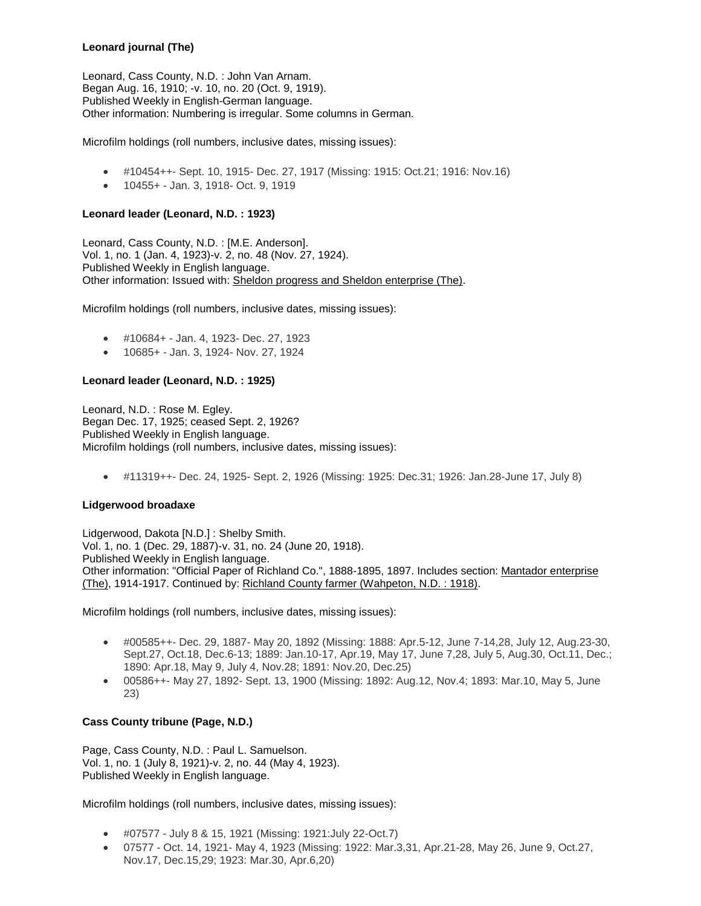# **Leonard journal (The)**

Leonard, Cass County, N.D. : John Van Arnam. Began Aug. 16, 1910; -v. 10, no. 20 (Oct. 9, 1919). Published Weekly in English-German language. Other information: Numbering is irregular. Some columns in German.

Microfilm holdings (roll numbers, inclusive dates, missing issues):

- #10454++- Sept. 10, 1915- Dec. 27, 1917 (Missing: 1915: Oct.21; 1916: Nov.16)
- 10455+ Jan. 3, 1918- Oct. 9, 1919

### **Leonard leader (Leonard, N.D. : 1923)**

Leonard, Cass County, N.D. : [M.E. Anderson]. Vol. 1, no. 1 (Jan. 4, 1923)-v. 2, no. 48 (Nov. 27, 1924). Published Weekly in English language. Other information: Issued with: Sheldon progress and Sheldon enterprise (The).

Microfilm holdings (roll numbers, inclusive dates, missing issues):

- #10684+ Jan. 4, 1923- Dec. 27, 1923
- 10685+ Jan. 3, 1924- Nov. 27, 1924

### **Leonard leader (Leonard, N.D. : 1925)**

Leonard, N.D. : Rose M. Egley. Began Dec. 17, 1925; ceased Sept. 2, 1926? Published Weekly in English language. Microfilm holdings (roll numbers, inclusive dates, missing issues):

#11319++- Dec. 24, 1925- Sept. 2, 1926 (Missing: 1925: Dec.31; 1926: Jan.28-June 17, July 8)

#### **Lidgerwood broadaxe**

Lidgerwood, Dakota [N.D.] : Shelby Smith. Vol. 1, no. 1 (Dec. 29, 1887)-v. 31, no. 24 (June 20, 1918). Published Weekly in English language. Other information: "Official Paper of Richland Co.", 1888-1895, 1897. Includes section: Mantador enterprise (The), 1914-1917. Continued by: Richland County farmer (Wahpeton, N.D. : 1918).

Microfilm holdings (roll numbers, inclusive dates, missing issues):

- #00585++- Dec. 29, 1887- May 20, 1892 (Missing: 1888: Apr.5-12, June 7-14,28, July 12, Aug.23-30, Sept.27, Oct.18, Dec.6-13; 1889: Jan.10-17, Apr.19, May 17, June 7,28, July 5, Aug.30, Oct.11, Dec.; 1890: Apr.18, May 9, July 4, Nov.28; 1891: Nov.20, Dec.25)
- 00586++- May 27, 1892- Sept. 13, 1900 (Missing: 1892: Aug.12, Nov.4; 1893: Mar.10, May 5, June 23)

## **Cass County tribune (Page, N.D.)**

Page, Cass County, N.D. : Paul L. Samuelson. Vol. 1, no. 1 (July 8, 1921)-v. 2, no. 44 (May 4, 1923). Published Weekly in English language.

- #07577 July 8 & 15, 1921 (Missing: 1921:July 22-Oct.7)
- 07577 Oct. 14, 1921- May 4, 1923 (Missing: 1922: Mar.3,31, Apr.21-28, May 26, June 9, Oct.27, Nov.17, Dec.15,29; 1923: Mar.30, Apr.6,20)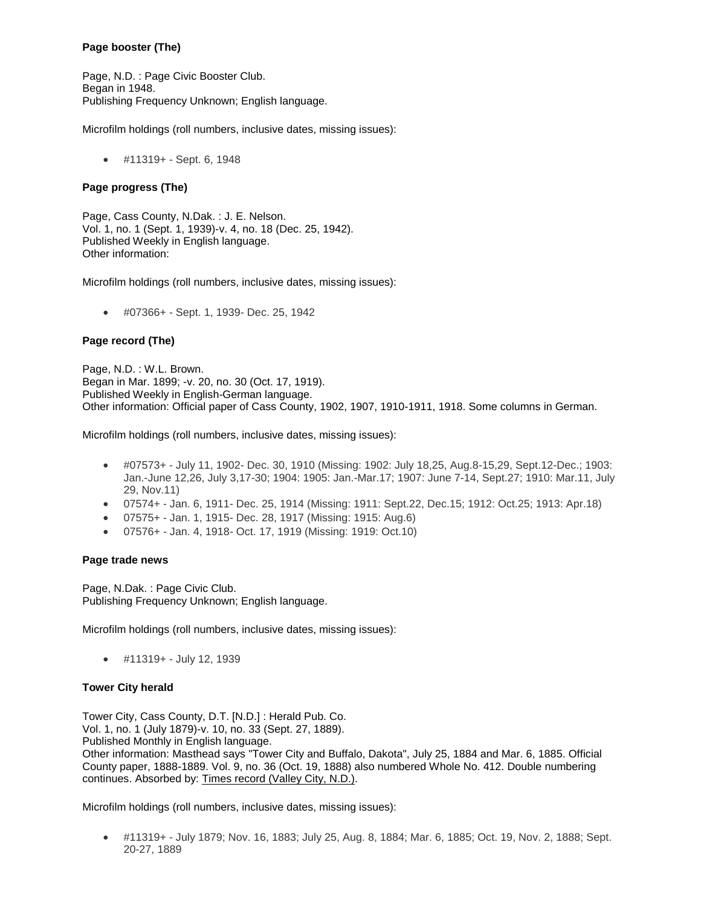# **Page booster (The)**

Page, N.D. : Page Civic Booster Club. Began in 1948. Publishing Frequency Unknown; English language.

Microfilm holdings (roll numbers, inclusive dates, missing issues):

#11319+ - Sept. 6, 1948

### **Page progress (The)**

Page, Cass County, N.Dak. : J. E. Nelson. Vol. 1, no. 1 (Sept. 1, 1939)-v. 4, no. 18 (Dec. 25, 1942). Published Weekly in English language. Other information:

Microfilm holdings (roll numbers, inclusive dates, missing issues):

#07366+ - Sept. 1, 1939- Dec. 25, 1942

### **Page record (The)**

Page, N.D. : W.L. Brown. Began in Mar. 1899; -v. 20, no. 30 (Oct. 17, 1919). Published Weekly in English-German language. Other information: Official paper of Cass County, 1902, 1907, 1910-1911, 1918. Some columns in German.

Microfilm holdings (roll numbers, inclusive dates, missing issues):

- #07573+ July 11, 1902- Dec. 30, 1910 (Missing: 1902: July 18,25, Aug.8-15,29, Sept.12-Dec.; 1903: Jan.-June 12,26, July 3,17-30; 1904: 1905: Jan.-Mar.17; 1907: June 7-14, Sept.27; 1910: Mar.11, July 29, Nov.11)
- 07574+ Jan. 6, 1911- Dec. 25, 1914 (Missing: 1911: Sept.22, Dec.15; 1912: Oct.25; 1913: Apr.18)
- 07575+ Jan. 1, 1915- Dec. 28, 1917 (Missing: 1915: Aug.6)
- 07576+ Jan. 4, 1918- Oct. 17, 1919 (Missing: 1919: Oct.10)

#### **Page trade news**

Page, N.Dak. : Page Civic Club. Publishing Frequency Unknown; English language.

Microfilm holdings (roll numbers, inclusive dates, missing issues):

#11319+ - July 12, 1939

## **Tower City herald**

Tower City, Cass County, D.T. [N.D.] : Herald Pub. Co. Vol. 1, no. 1 (July 1879)-v. 10, no. 33 (Sept. 27, 1889). Published Monthly in English language. Other information: Masthead says "Tower City and Buffalo, Dakota", July 25, 1884 and Mar. 6, 1885. Official County paper, 1888-1889. Vol. 9, no. 36 (Oct. 19, 1888) also numbered Whole No. 412. Double numbering continues. Absorbed by: Times record (Valley City, N.D.).

Microfilm holdings (roll numbers, inclusive dates, missing issues):

 #11319+ - July 1879; Nov. 16, 1883; July 25, Aug. 8, 1884; Mar. 6, 1885; Oct. 19, Nov. 2, 1888; Sept. 20-27, 1889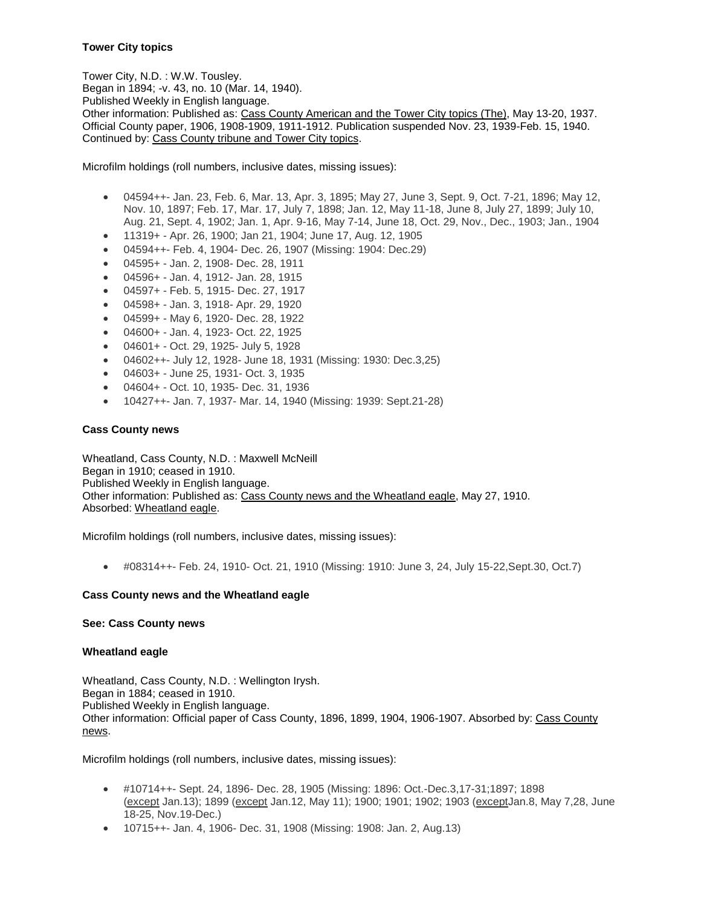# **Tower City topics**

Tower City, N.D. : W.W. Tousley. Began in 1894; -v. 43, no. 10 (Mar. 14, 1940). Published Weekly in English language. Other information: Published as: Cass County American and the Tower City topics (The), May 13-20, 1937. Official County paper, 1906, 1908-1909, 1911-1912. Publication suspended Nov. 23, 1939-Feb. 15, 1940. Continued by: Cass County tribune and Tower City topics.

Microfilm holdings (roll numbers, inclusive dates, missing issues):

- 04594++- Jan. 23, Feb. 6, Mar. 13, Apr. 3, 1895; May 27, June 3, Sept. 9, Oct. 7-21, 1896; May 12, Nov. 10, 1897; Feb. 17, Mar. 17, July 7, 1898; Jan. 12, May 11-18, June 8, July 27, 1899; July 10, Aug. 21, Sept. 4, 1902; Jan. 1, Apr. 9-16, May 7-14, June 18, Oct. 29, Nov., Dec., 1903; Jan., 1904
- 11319+ Apr. 26, 1900; Jan 21, 1904; June 17, Aug. 12, 1905
- 04594++- Feb. 4, 1904- Dec. 26, 1907 (Missing: 1904: Dec.29)
- 04595+ Jan. 2, 1908- Dec. 28, 1911
- 04596+ Jan. 4, 1912- Jan. 28, 1915
- 04597+ Feb. 5, 1915- Dec. 27, 1917
- 04598+ Jan. 3, 1918- Apr. 29, 1920
- 04599+ May 6, 1920- Dec. 28, 1922
- 04600+ Jan. 4, 1923- Oct. 22, 1925
- 04601+ Oct. 29, 1925- July 5, 1928
- 04602++- July 12, 1928- June 18, 1931 (Missing: 1930: Dec.3,25)
- 04603+ June 25, 1931- Oct. 3, 1935
- 04604+ Oct. 10, 1935- Dec. 31, 1936
- 10427++- Jan. 7, 1937- Mar. 14, 1940 (Missing: 1939: Sept.21-28)

## **Cass County news**

Wheatland, Cass County, N.D. : Maxwell McNeill Began in 1910; ceased in 1910. Published Weekly in English language. Other information: Published as: Cass County news and the Wheatland eagle, May 27, 1910. Absorbed: Wheatland eagle.

Microfilm holdings (roll numbers, inclusive dates, missing issues):

#08314++- Feb. 24, 1910- Oct. 21, 1910 (Missing: 1910: June 3, 24, July 15-22,Sept.30, Oct.7)

## **Cass County news and the Wheatland eagle**

#### **See: Cass County news**

#### **Wheatland eagle**

Wheatland, Cass County, N.D. : Wellington Irysh. Began in 1884; ceased in 1910. Published Weekly in English language. Other information: Official paper of Cass County, 1896, 1899, 1904, 1906-1907. Absorbed by: Cass County news.

- #10714++- Sept. 24, 1896- Dec. 28, 1905 (Missing: 1896: Oct.-Dec.3,17-31;1897; 1898 (except Jan.13); 1899 (except Jan.12, May 11); 1900; 1901; 1902; 1903 (exceptJan.8, May 7,28, June 18-25, Nov.19-Dec.)
- 10715++- Jan. 4, 1906- Dec. 31, 1908 (Missing: 1908: Jan. 2, Aug. 13)